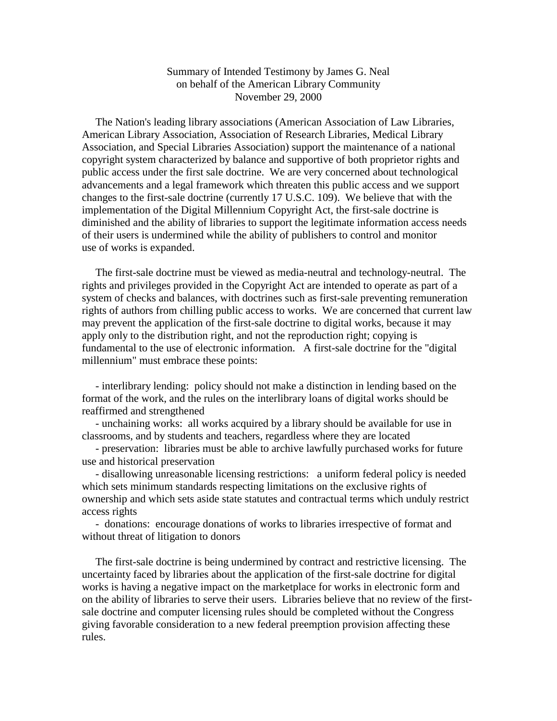## Summary of Intended Testimony by James G. Neal on behalf of the American Library Community November 29, 2000

 The Nation's leading library associations (American Association of Law Libraries, American Library Association, Association of Research Libraries, Medical Library Association, and Special Libraries Association) support the maintenance of a national copyright system characterized by balance and supportive of both proprietor rights and public access under the first sale doctrine. We are very concerned about technological advancements and a legal framework which threaten this public access and we support changes to the first-sale doctrine (currently 17 U.S.C. 109). We believe that with the implementation of the Digital Millennium Copyright Act, the first-sale doctrine is diminished and the ability of libraries to support the legitimate information access needs of their users is undermined while the ability of publishers to control and monitor use of works is expanded.

 The first-sale doctrine must be viewed as media-neutral and technology-neutral. The rights and privileges provided in the Copyright Act are intended to operate as part of a system of checks and balances, with doctrines such as first-sale preventing remuneration rights of authors from chilling public access to works. We are concerned that current law may prevent the application of the first-sale doctrine to digital works, because it may apply only to the distribution right, and not the reproduction right; copying is fundamental to the use of electronic information. A first-sale doctrine for the "digital millennium" must embrace these points:

 - interlibrary lending: policy should not make a distinction in lending based on the format of the work, and the rules on the interlibrary loans of digital works should be reaffirmed and strengthened

 - unchaining works: all works acquired by a library should be available for use in classrooms, and by students and teachers, regardless where they are located

 - preservation: libraries must be able to archive lawfully purchased works for future use and historical preservation

 - disallowing unreasonable licensing restrictions: a uniform federal policy is needed which sets minimum standards respecting limitations on the exclusive rights of ownership and which sets aside state statutes and contractual terms which unduly restrict access rights

 - donations: encourage donations of works to libraries irrespective of format and without threat of litigation to donors

 The first-sale doctrine is being undermined by contract and restrictive licensing. The uncertainty faced by libraries about the application of the first-sale doctrine for digital works is having a negative impact on the marketplace for works in electronic form and on the ability of libraries to serve their users. Libraries believe that no review of the firstsale doctrine and computer licensing rules should be completed without the Congress giving favorable consideration to a new federal preemption provision affecting these rules.